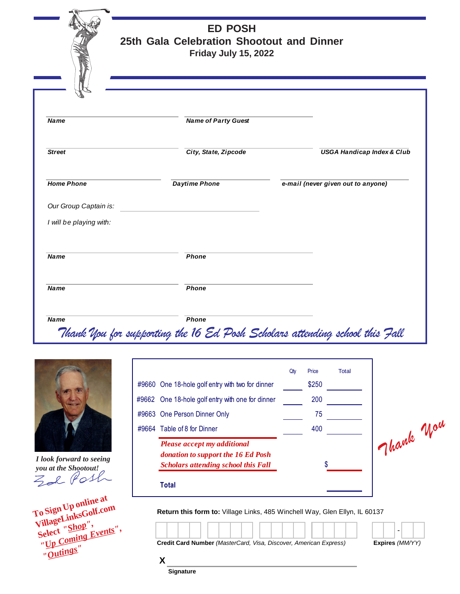**ED POSH 25th Gala Celebration Shootout and Dinner Friday July 15, 2022** *Thank You for supporting the 16 Ed Posh Scholars attending school this Fall Name Name of Party Guest* **Street City, State, Zipcode City, State, Zipcode City, State, Zipcode City, State, Zipcode City, State, Zipcode City, State, Zipcode City, State, Zipcode City, State, Zipcode City, State, Zipcode City, State, Zipcode City** *Home Phone Daytime Phone e-mail (never given out to anyone) Our Group Captain is: I will be playing with:* **Name** Phone *Name Phone Name Phone*



*I look forward to seeing you at the Shootout!*

**To Sign Up online at VillageLinksGolf.com Select** *"Shop", "Up Coming Events", "Outings"*

| #9660 One 18-hole golf entry with two for dinner<br>#9662 One 18-hole golf entry with one for dinner            | Qty | Price<br>\$250<br>200 | <b>Total</b> |                 |
|-----------------------------------------------------------------------------------------------------------------|-----|-----------------------|--------------|-----------------|
| #9663 One Person Dinner Only                                                                                    |     | 75                    |              |                 |
| #9664 Table of 8 for Dinner                                                                                     |     | 400                   |              |                 |
| Please accept my additional<br>donation to support the 16 Ed Posh<br><b>Scholars attending school this Fall</b> |     |                       |              | Jhank Wou       |
| <b>Total</b>                                                                                                    |     |                       |              |                 |
| Return this form to: Village Links, 485 Winchell Way, Glen Ellyn, IL 60137                                      |     |                       |              |                 |
|                                                                                                                 |     |                       |              | Expires (MM/YY) |
| Credit Card Number (MasterCard, Visa, Discover, American Express)<br>Χ                                          |     |                       |              |                 |

**Signature**